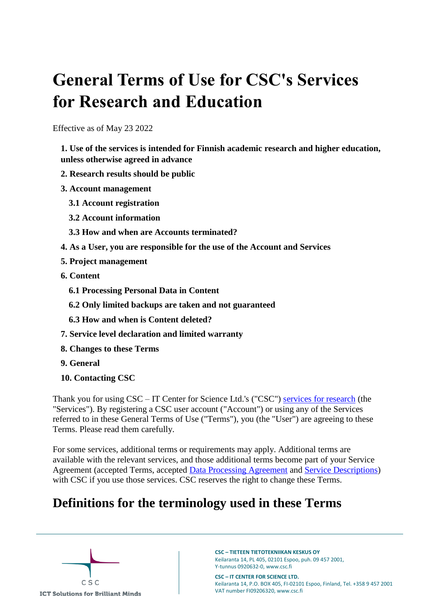# **General Terms of Use for CSC's Services for Research and Education**

Effective as of May 23 2022

**[1. Use of the services is intended for Finnish academic research and higher education,](#page-1-0)  [unless otherwise agreed in advance](#page-1-0)**

- **[2. Research results should be public](#page-1-1)**
- **[3. Account management](#page-2-0)**
	- **[3.1 Account registration](#page-2-1)**
	- **[3.2 Account information](#page-2-2)**
	- **[3.3 How and when are Accounts terminated?](#page-2-3)**
- **[4. As a User, you are responsible for the use of the Account and Services](#page-3-0)**
- **[5. Project management](#page-4-0)**
- **[6. Content](#page-4-1)**
	- **[6.1 Processing Personal Data in Content](#page-5-0)**
	- **[6.2 Only limited backups are taken and not guaranteed](#page-5-1)**
	- **[6.3 How and when is Content deleted?](#page-5-2)**
- **[7. Service level declaration and limited warranty](#page-6-0)**
- **[8. Changes to these Terms](#page-6-1)**
- **[9. General](#page-6-2)**
- **[10. Contacting CSC](#page-6-3)**

Thank you for using CSC – IT Center for Science Ltd.'s ("CSC") [services for research](https://research.csc.fi/) (the "Services"). By registering a CSC user account ("Account") or using any of the Services referred to in these General Terms of Use ("Terms"), you (the "User") are agreeing to these Terms. Please read them carefully.

For some services, additional terms or requirements may apply. Additional terms are available with the relevant services, and those additional terms become part of your Service Agreement (accepted Terms, accepted [Data Processing Agreement](https://research.csc.fi/en/data-processing-agreement) and [Service Descriptions\)](https://research.csc.fi/en/service-catalog) with CSC if you use those services. CSC reserves the right to change these Terms.

### **Definitions for the terminology used in these Terms**

 $C S C$ **ICT Solutions for Brilliant Minds**  **CSC – TIETEEN TIETOTEKNIIKAN KESKUS OY** Keilaranta 14, PL 405, 02101 Espoo, puh. 09 457 2001, Y-tunnus 0920632-0, www.csc.fi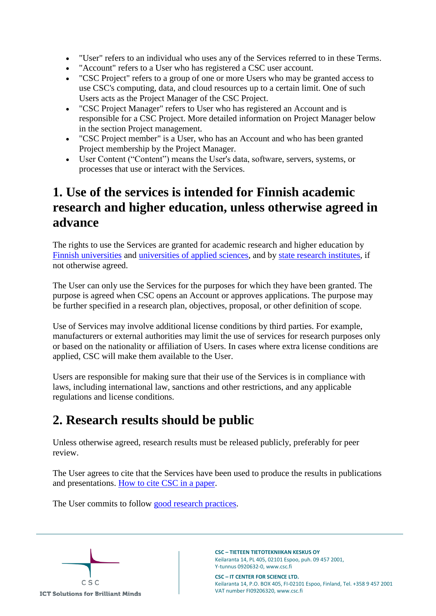- "User" refers to an individual who uses any of the Services referred to in these Terms.
- "Account" refers to a User who has registered a CSC user account.
- "CSC Project" refers to a group of one or more Users who may be granted access to use CSC's computing, data, and cloud resources up to a certain limit. One of such Users acts as the Project Manager of the CSC Project.
- "CSC Project Manager" refers to User who has registered an Account and is responsible for a CSC Project. More detailed information on Project Manager below in the section Project management.
- "CSC Project member" is a User, who has an Account and who has been granted Project membership by the Project Manager.
- User Content ("Content") means the User's data, software, servers, systems, or processes that use or interact with the Services.

## <span id="page-1-0"></span>**1. Use of the services is intended for Finnish academic research and higher education, unless otherwise agreed in advance**

The rights to use the Services are granted for academic research and higher education by [Finnish universities](https://minedu.fi/en/universities) and [universities of applied sciences,](https://minedu.fi/en/universities-of-applied-sciences) and by [state research institutes,](https://minedu.fi/en/science-agencies-research-institutes-and-scientific-organisations-in-finland) if not otherwise agreed.

The User can only use the Services for the purposes for which they have been granted. The purpose is agreed when CSC opens an Account or approves applications. The purpose may be further specified in a research plan, objectives, proposal, or other definition of scope.

Use of Services may involve additional license conditions by third parties. For example, manufacturers or external authorities may limit the use of services for research purposes only or based on the nationality or affiliation of Users. In cases where extra license conditions are applied, CSC will make them available to the User.

Users are responsible for making sure that their use of the Services is in compliance with laws, including international law, sanctions and other restrictions, and any applicable regulations and license conditions.

# <span id="page-1-1"></span>**2. Research results should be public**

Unless otherwise agreed, research results must be released publicly, preferably for peer review.

The User agrees to cite that the Services have been used to produce the results in publications and presentations. [How to cite CSC in a paper.](https://docs.csc.fi/support/faq/how-to-cite-csc/)

The User commits to follow [good research practices.](https://tenk.fi/en/research-misconduct/responsible-conduct-research-rcr)



**CSC – TIETEEN TIETOTEKNIIKAN KESKUS OY** Keilaranta 14, PL 405, 02101 Espoo, puh. 09 457 2001, Y-tunnus 0920632-0, www.csc.fi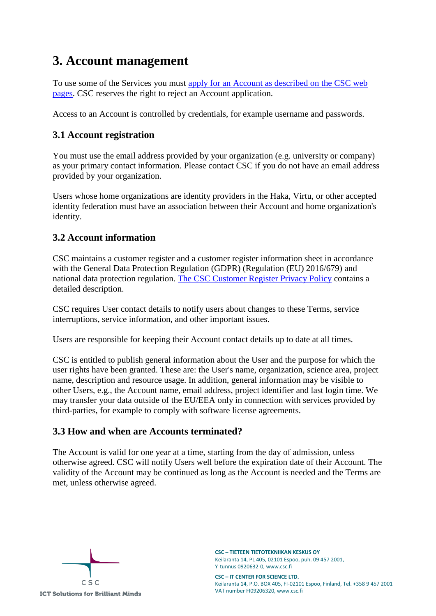# <span id="page-2-0"></span>**3. Account management**

To use some of the Services you must [apply for an Account as described on the CSC web](https://research.csc.fi/accounts-and-projects)  [pages.](https://research.csc.fi/accounts-and-projects) CSC reserves the right to reject an Account application.

Access to an Account is controlled by credentials, for example username and passwords.

### <span id="page-2-1"></span>**3.1 Account registration**

You must use the email address provided by your organization (e.g. university or company) as your primary contact information. Please contact CSC if you do not have an email address provided by your organization.

Users whose home organizations are identity providers in the Haka, Virtu, or other accepted identity federation must have an association between their Account and home organization's identity.

### <span id="page-2-2"></span>**3.2 Account information**

CSC maintains a customer register and a customer register information sheet in accordance with the General Data Protection Regulation (GDPR) (Regulation (EU) 2016/679) and national data protection regulation. [The CSC Customer Register Privacy Policy](https://www.csc.fi/customer-register-privacy-policy) contains a detailed description.

CSC requires User contact details to notify users about changes to these Terms, service interruptions, service information, and other important issues.

Users are responsible for keeping their Account contact details up to date at all times.

CSC is entitled to publish general information about the User and the purpose for which the user rights have been granted. These are: the User's name, organization, science area, project name, description and resource usage. In addition, general information may be visible to other Users, e.g., the Account name, email address, project identifier and last login time. We may transfer your data outside of the EU/EEA only in connection with services provided by third-parties, for example to comply with software license agreements.

### <span id="page-2-3"></span>**3.3 How and when are Accounts terminated?**

The Account is valid for one year at a time, starting from the day of admission, unless otherwise agreed. CSC will notify Users well before the expiration date of their Account. The validity of the Account may be continued as long as the Account is needed and the Terms are met, unless otherwise agreed.

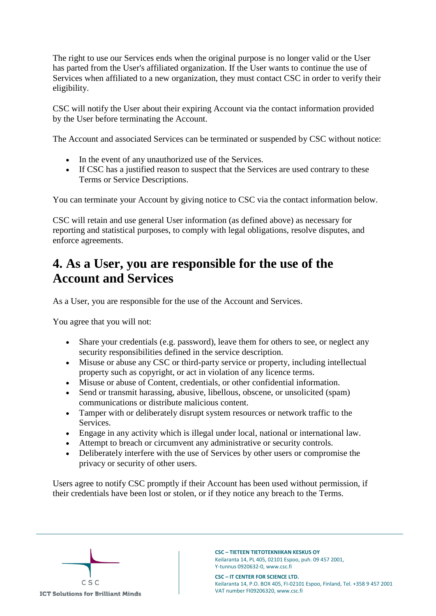The right to use our Services ends when the original purpose is no longer valid or the User has parted from the User's affiliated organization. If the User wants to continue the use of Services when affiliated to a new organization, they must contact CSC in order to verify their eligibility.

CSC will notify the User about their expiring Account via the contact information provided by the User before terminating the Account.

The Account and associated Services can be terminated or suspended by CSC without notice:

- In the event of any unauthorized use of the Services.
- If CSC has a justified reason to suspect that the Services are used contrary to these Terms or Service Descriptions.

You can terminate your Account by giving notice to CSC via the contact information below.

CSC will retain and use general User information (as defined above) as necessary for reporting and statistical purposes, to comply with legal obligations, resolve disputes, and enforce agreements.

## <span id="page-3-0"></span>**4. As a User, you are responsible for the use of the Account and Services**

As a User, you are responsible for the use of the Account and Services.

You agree that you will not:

- Share your credentials (e.g. password), leave them for others to see, or neglect any security responsibilities defined in the service description.
- Misuse or abuse any CSC or third-party service or property, including intellectual property such as copyright, or act in violation of any licence terms.
- Misuse or abuse of Content, credentials, or other confidential information.
- Send or transmit harassing, abusive, libellous, obscene, or unsolicited (spam) communications or distribute malicious content.
- Tamper with or deliberately disrupt system resources or network traffic to the Services.
- Engage in any activity which is illegal under local, national or international law.
- Attempt to breach or circumvent any administrative or security controls.
- Deliberately interfere with the use of Services by other users or compromise the privacy or security of other users.

Users agree to notify CSC promptly if their Account has been used without permission, if their credentials have been lost or stolen, or if they notice any breach to the Terms.

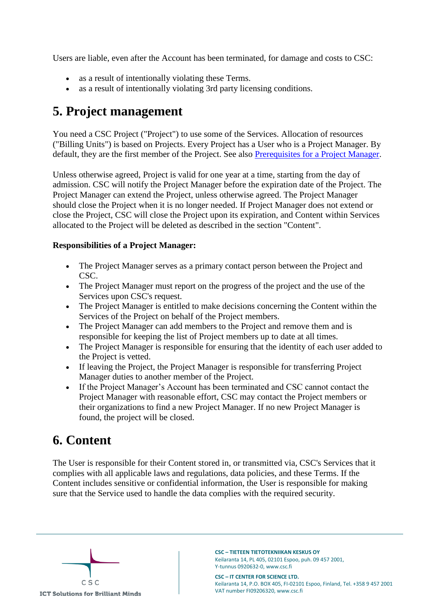Users are liable, even after the Account has been terminated, for damage and costs to CSC:

- as a result of intentionally violating these Terms.
- as a result of intentionally violating 3rd party licensing conditions.

### <span id="page-4-0"></span>**5. Project management**

You need a CSC Project ("Project") to use some of the Services. Allocation of resources ("Billing Units") is based on Projects. Every Project has a User who is a Project Manager. By default, they are the first member of the Project. See also [Prerequisites for a Project Manager.](https://research.csc.fi/en/prerequisites-for-a-project-manager)

Unless otherwise agreed, Project is valid for one year at a time, starting from the day of admission. CSC will notify the Project Manager before the expiration date of the Project. The Project Manager can extend the Project, unless otherwise agreed. The Project Manager should close the Project when it is no longer needed. If Project Manager does not extend or close the Project, CSC will close the Project upon its expiration, and Content within Services allocated to the Project will be deleted as described in the section "Content".

#### **Responsibilities of a Project Manager:**

- The Project Manager serves as a primary contact person between the Project and CSC.
- The Project Manager must report on the progress of the project and the use of the Services upon CSC's request.
- The Project Manager is entitled to make decisions concerning the Content within the Services of the Project on behalf of the Project members.
- The Project Manager can add members to the Project and remove them and is responsible for keeping the list of Project members up to date at all times.
- The Project Manager is responsible for ensuring that the identity of each user added to the Project is vetted.
- If leaving the Project, the Project Manager is responsible for transferring Project Manager duties to another member of the Project.
- If the Project Manager's Account has been terminated and CSC cannot contact the Project Manager with reasonable effort, CSC may contact the Project members or their organizations to find a new Project Manager. If no new Project Manager is found, the project will be closed.

### <span id="page-4-1"></span>**6. Content**

The User is responsible for their Content stored in, or transmitted via, CSC's Services that it complies with all applicable laws and regulations, data policies, and these Terms. If the Content includes sensitive or confidential information, the User is responsible for making sure that the Service used to handle the data complies with the required security.

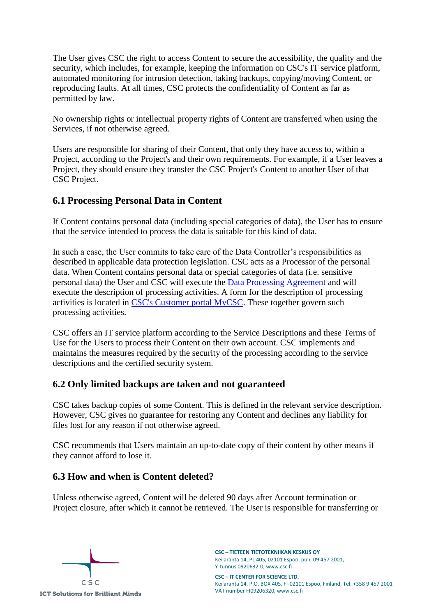The User gives CSC the right to access Content to secure the accessibility, the quality and the security, which includes, for example, keeping the information on CSC's IT service platform, automated monitoring for intrusion detection, taking backups, copying/moving Content, or reproducing faults. At all times, CSC protects the confidentiality of Content as far as permitted by law.

No ownership rights or intellectual property rights of Content are transferred when using the Services, if not otherwise agreed.

Users are responsible for sharing of their Content, that only they have access to, within a Project, according to the Project's and their own requirements. For example, if a User leaves a Project, they should ensure they transfer the CSC Project's Content to another User of that CSC Project.

### <span id="page-5-0"></span>**6.1 Processing Personal Data in Content**

If Content contains personal data (including special categories of data), the User has to ensure that the service intended to process the data is suitable for this kind of data.

In such a case, the User commits to take care of the Data Controller's responsibilities as described in applicable data protection legislation. CSC acts as a Processor of the personal data. When Content contains personal data or special categories of data (i.e. sensitive personal data) the User and CSC will execute the [Data Processing Agreement](https://research.csc.fi/en/data-processing-agreement) and will execute the description of processing activities. A form for the description of processing activities is located in [CSC's Customer portal MyCSC.](https://my.csc.fi/) These together govern such processing activities.

CSC offers an IT service platform according to the Service Descriptions and these Terms of Use for the Users to process their Content on their own account. CSC implements and maintains the measures required by the security of the processing according to the service descriptions and the certified security system.

### <span id="page-5-1"></span>**6.2 Only limited backups are taken and not guaranteed**

CSC takes backup copies of some Content. This is defined in the relevant service description. However, CSC gives no guarantee for restoring any Content and declines any liability for files lost for any reason if not otherwise agreed.

CSC recommends that Users maintain an up-to-date copy of their content by other means if they cannot afford to lose it.

### <span id="page-5-2"></span>**6.3 How and when is Content deleted?**

Unless otherwise agreed, Content will be deleted 90 days after Account termination or Project closure, after which it cannot be retrieved. The User is responsible for transferring or



**CSC – TIETEEN TIETOTEKNIIKAN KESKUS OY** Keilaranta 14, PL 405, 02101 Espoo, puh. 09 457 2001, Y-tunnus 0920632-0, www.csc.fi